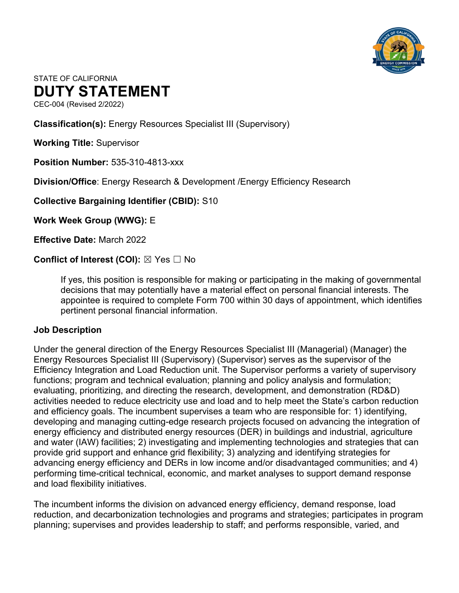

# STATE OF CALIFORNIA **DUTY STATEMENT**

CEC-004 (Revised 2/2022)

**Classification(s):** Energy Resources Specialist III (Supervisory)

**Working Title:** Supervisor

**Position Number:** 535-310-4813-xxx

**Division/Office**: Energy Research & Development /Energy Efficiency Research

**Collective Bargaining Identifier (CBID):** S10

**Work Week Group (WWG):** E

**Effective Date:** March 2022

**Conflict of Interest (COI):** ⊠ Yes □ No

If yes, this position is responsible for making or participating in the making of governmental decisions that may potentially have a material effect on personal financial interests. The appointee is required to complete Form 700 within 30 days of appointment, which identifies pertinent personal financial information.

#### **Job Description**

Under the general direction of the Energy Resources Specialist III (Managerial) (Manager) the Energy Resources Specialist III (Supervisory) (Supervisor) serves as the supervisor of the Efficiency Integration and Load Reduction unit. The Supervisor performs a variety of supervisory functions; program and technical evaluation; planning and policy analysis and formulation; evaluating, prioritizing, and directing the research, development, and demonstration (RD&D) activities needed to reduce electricity use and load and to help meet the State's carbon reduction and efficiency goals. The incumbent supervises a team who are responsible for: 1) identifying, developing and managing cutting-edge research projects focused on advancing the integration of energy efficiency and distributed energy resources (DER) in buildings and industrial, agriculture and water (IAW) facilities; 2) investigating and implementing technologies and strategies that can provide grid support and enhance grid flexibility; 3) analyzing and identifying strategies for advancing energy efficiency and DERs in low income and/or disadvantaged communities; and 4) performing time-critical technical, economic, and market analyses to support demand response and load flexibility initiatives.

The incumbent informs the division on advanced energy efficiency, demand response, load reduction, and decarbonization technologies and programs and strategies; participates in program planning; supervises and provides leadership to staff; and performs responsible, varied, and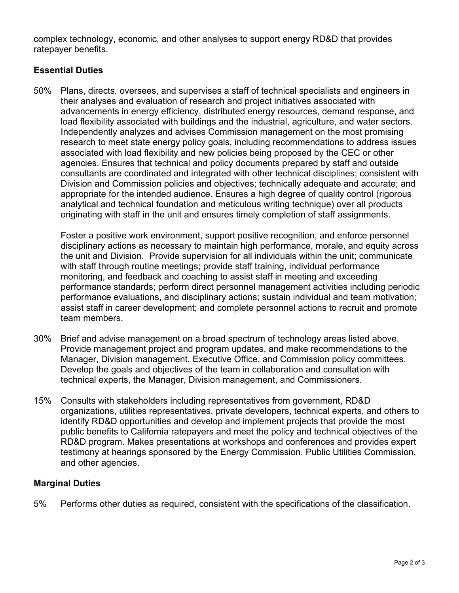complex technology, economic, and other analyses to support energy RD&D that provides ratepayer benefits.

## **Essential Duties**

50% Plans, directs, oversees, and supervises a staff of technical specialists and engineers in their analyses and evaluation of research and project initiatives associated with advancements in energy efficiency, distributed energy resources, demand response, and load flexibility associated with buildings and the industrial, agriculture, and water sectors. Independently analyzes and advises Commission management on the most promising research to meet state energy policy goals, including recommendations to address issues associated with load flexibility and new policies being proposed by the CEC or other agencies. Ensures that technical and policy documents prepared by staff and outside consultants are coordinated and integrated with other technical disciplines; consistent with Division and Commission policies and objectives; technically adequate and accurate; and appropriate for the intended audience. Ensures a high degree of quality control (rigorous analytical and technical foundation and meticulous writing technique) over all products originating with staff in the unit and ensures timely completion of staff assignments.

Foster a positive work environment, support positive recognition, and enforce personnel disciplinary actions as necessary to maintain high performance, morale, and equity across the unit and Division. Provide supervision for all individuals within the unit; communicate with staff through routine meetings; provide staff training, individual performance monitoring, and feedback and coaching to assist staff in meeting and exceeding performance standards; perform direct personnel management activities including periodic performance evaluations, and disciplinary actions; sustain individual and team motivation; assist staff in career development; and complete personnel actions to recruit and promote team members.

- 30% Brief and advise management on a broad spectrum of technology areas listed above. Provide management project and program updates, and make recommendations to the Manager, Division management, Executive Office, and Commission policy committees. Develop the goals and objectives of the team in collaboration and consultation with technical experts, the Manager, Division management, and Commissioners.
- 15% Consults with stakeholders including representatives from government, RD&D organizations, utilities representatives, private developers, technical experts, and others to identify RD&D opportunities and develop and implement projects that provide the most public benefits to California ratepayers and meet the policy and technical objectives of the RD&D program. Makes presentations at workshops and conferences and provides expert testimony at hearings sponsored by the Energy Commission, Public Utilities Commission, and other agencies.

## **Marginal Duties**

5% Performs other duties as required, consistent with the specifications of the classification.